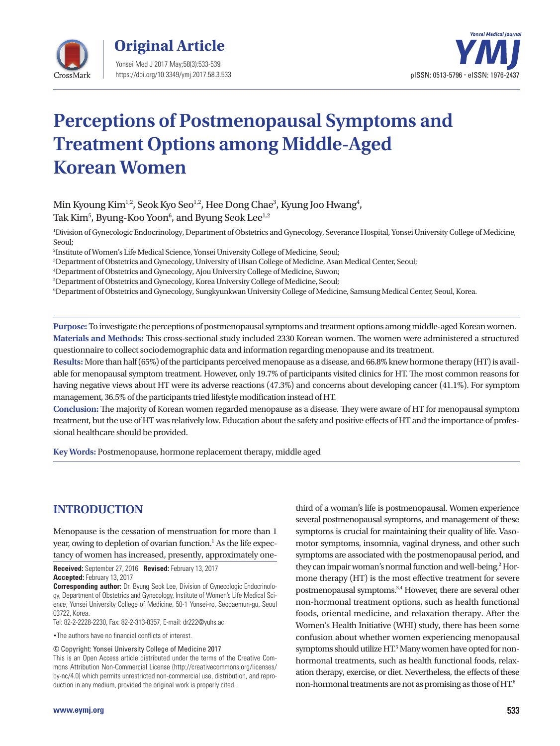



# **Perceptions of Postmenopausal Symptoms and Treatment Options among Middle-Aged Korean Women**

Min Kyoung Kim<sup>1,2</sup>, Seok Kyo Seo<sup>1,2</sup>, Hee Dong Chae<sup>3</sup>, Kyung Joo Hwang<sup>4</sup>, Tak Kim $^5$ , Byung-Koo Yoon $^6$ , and Byung Seok Lee $^{\rm l,2}$ 

1 Division of Gynecologic Endocrinology, Department of Obstetrics and Gynecology, Severance Hospital, Yonsei University College of Medicine, Seoul;

2 Institute of Women's Life Medical Science, Yonsei University College of Medicine, Seoul;

3 Department of Obstetrics and Gynecology, University of Ulsan College of Medicine, Asan Medical Center, Seoul;

4 Department of Obstetrics and Gynecology, Ajou University College of Medicine, Suwon;

5 Department of Obstetrics and Gynecology, Korea University College of Medicine, Seoul;

6 Department of Obstetrics and Gynecology, Sungkyunkwan University College of Medicine, Samsung Medical Center, Seoul, Korea.

**Purpose:** To investigate the perceptions of postmenopausal symptoms and treatment options among middle-aged Korean women. **Materials and Methods:** This cross-sectional study included 2330 Korean women. The women were administered a structured questionnaire to collect sociodemographic data and information regarding menopause and its treatment.

**Results:** More than half (65%) of the participants perceived menopause as a disease, and 66.8% knew hormone therapy (HT) is available for menopausal symptom treatment. However, only 19.7% of participants visited clinics for HT. The most common reasons for having negative views about HT were its adverse reactions (47.3%) and concerns about developing cancer (41.1%). For symptom management, 36.5% of the participants tried lifestyle modification instead of HT.

**Conclusion:** The majority of Korean women regarded menopause as a disease. They were aware of HT for menopausal symptom treatment, but the use of HT was relatively low. Education about the safety and positive effects of HT and the importance of professional healthcare should be provided.

**Key Words:** Postmenopause, hormone replacement therapy, middle aged

## **INTRODUCTION**

Menopause is the cessation of menstruation for more than 1 year, owing to depletion of ovarian function.<sup>1</sup> As the life expectancy of women has increased, presently, approximately one-

**Received:** September 27, 2016 **Revised:** February 13, 2017 **Accepted:** February 13, 2017

**Corresponding author:** Dr. Byung Seok Lee, Division of Gynecologic Endocrinology, Department of Obstetrics and Gynecology, Institute of Women's Life Medical Science, Yonsei University College of Medicine, 50-1 Yonsei-ro, Seodaemun-gu, Seoul 03722, Korea.

Tel: 82-2-2228-2230, Fax: 82-2-313-8357, E-mail: dr222@yuhs.ac

•The authors have no financial conflicts of interest.

© Copyright: Yonsei University College of Medicine 2017

This is an Open Access article distributed under the terms of the Creative Commons Attribution Non-Commercial License (http://creativecommons.org/licenses/ by-nc/4.0) which permits unrestricted non-commercial use, distribution, and reproduction in any medium, provided the original work is properly cited.

third of a woman's life is postmenopausal. Women experience several postmenopausal symptoms, and management of these symptoms is crucial for maintaining their quality of life. Vasomotor symptoms, insomnia, vaginal dryness, and other such symptoms are associated with the postmenopausal period, and they can impair woman's normal function and well-being.<sup>2</sup> Hormone therapy (HT) is the most effective treatment for severe postmenopausal symptoms.<sup>3,4</sup> However, there are several other non-hormonal treatment options, such as health functional foods, oriental medicine, and relaxation therapy. After the Women's Health Initiative (WHI) study, there has been some confusion about whether women experiencing menopausal symptoms should utilize HT.<sup>5</sup> Many women have opted for nonhormonal treatments, such as health functional foods, relaxation therapy, exercise, or diet. Nevertheless, the effects of these non-hormonal treatments are not as promising as those of HT.6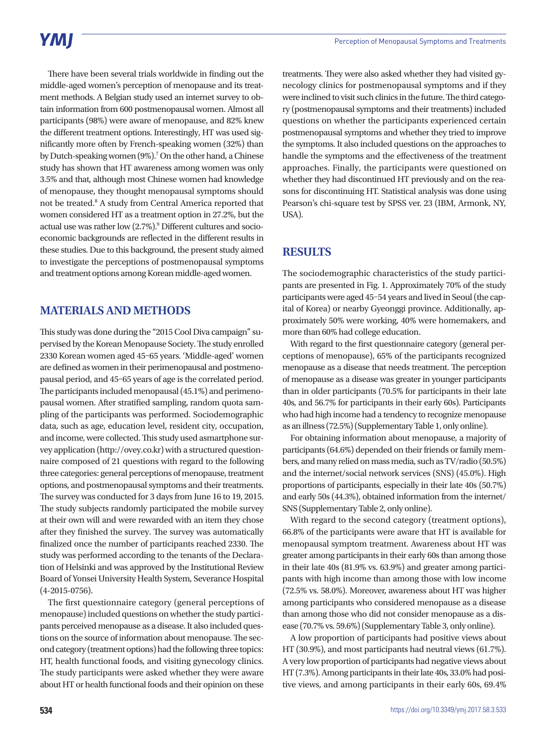There have been several trials worldwide in finding out the middle-aged women's perception of menopause and its treatment methods. A Belgian study used an internet survey to obtain information from 600 postmenopausal women. Almost all participants (98%) were aware of menopause, and 82% knew the different treatment options. Interestingly, HT was used significantly more often by French-speaking women (32%) than by Dutch-speaking women (9%).<sup>7</sup> On the other hand, a Chinese study has shown that HT awareness among women was only 3.5% and that, although most Chinese women had knowledge of menopause, they thought menopausal symptoms should not be treated.<sup>8</sup> A study from Central America reported that women considered HT as a treatment option in 27.2%, but the actual use was rather low (2.7%).<sup>9</sup> Different cultures and socioeconomic backgrounds are reflected in the different results in these studies. Due to this background, the present study aimed to investigate the perceptions of postmenopausal symptoms and treatment options among Korean middle-aged women.

## **MATERIALS AND METHODS**

This study was done during the "2015 Cool Diva campaign" supervised by the Korean Menopause Society. The study enrolled 2330 Korean women aged 45–65 years. 'Middle-aged' women are defined as women in their perimenopausal and postmenopausal period, and 45–65 years of age is the correlated period. The participants included menopausal (45.1%) and perimenopausal women. After stratified sampling, random quota sampling of the participants was performed. Sociodemographic data, such as age, education level, resident city, occupation, and income, were collected. This study used asmartphone survey application (http://ovey.co.kr) with a structured questionnaire composed of 21 questions with regard to the following three categories: general perceptions of menopause, treatment options, and postmenopausal symptoms and their treatments. The survey was conducted for 3 days from June 16 to 19, 2015. The study subjects randomly participated the mobile survey at their own will and were rewarded with an item they chose after they finished the survey. The survey was automatically finalized once the number of participants reached 2330. The study was performed according to the tenants of the Declaration of Helsinki and was approved by the Institutional Review Board of Yonsei University Health System, Severance Hospital (4-2015-0756).

The first questionnaire category (general perceptions of menopause) included questions on whether the study participants perceived menopause as a disease. It also included questions on the source of information about menopause. The second category (treatment options) had the following three topics: HT, health functional foods, and visiting gynecology clinics. The study participants were asked whether they were aware about HT or health functional foods and their opinion on these

treatments. They were also asked whether they had visited gynecology clinics for postmenopausal symptoms and if they were inclined to visit such clinics in the future. The third category (postmenopausal symptoms and their treatments) included questions on whether the participants experienced certain postmenopausal symptoms and whether they tried to improve the symptoms. It also included questions on the approaches to handle the symptoms and the effectiveness of the treatment approaches. Finally, the participants were questioned on whether they had discontinued HT previously and on the reasons for discontinuing HT. Statistical analysis was done using Pearson's chi-square test by SPSS ver. 23 (IBM, Armonk, NY, USA).

## **RESULTS**

The sociodemographic characteristics of the study participants are presented in Fig. 1. Approximately 70% of the study participants were aged 45–54 years and lived in Seoul (the capital of Korea) or nearby Gyeonggi province. Additionally, approximately 50% were working, 40% were homemakers, and more than 60% had college education.

With regard to the first questionnaire category (general perceptions of menopause), 65% of the participants recognized menopause as a disease that needs treatment. The perception of menopause as a disease was greater in younger participants than in older participants (70.5% for participants in their late 40s, and 56.7% for participants in their early 60s). Participants who had high income had a tendency to recognize menopause as an illness (72.5%) (Supplementary Table 1, only online).

For obtaining information about menopause, a majority of participants (64.6%) depended on their friends or family members, and many relied on mass media, such as TV/radio (50.5%) and the internet/social network services (SNS) (45.0%). High proportions of participants, especially in their late 40s (50.7%) and early 50s (44.3%), obtained information from the internet/ SNS (Supplementary Table 2, only online).

With regard to the second category (treatment options), 66.8% of the participants were aware that HT is available for menopausal symptom treatment. Awareness about HT was greater among participants in their early 60s than among those in their late 40s (81.9% vs. 63.9%) and greater among participants with high income than among those with low income (72.5% vs. 58.0%). Moreover, awareness about HT was higher among participants who considered menopause as a disease than among those who did not consider menopause as a disease (70.7% vs. 59.6%) (Supplementary Table 3, only online).

A low proportion of participants had positive views about HT (30.9%), and most participants had neutral views (61.7%). A very low proportion of participants had negative views about HT (7.3%). Among participants in their late 40s, 33.0% had positive views, and among participants in their early 60s, 69.4%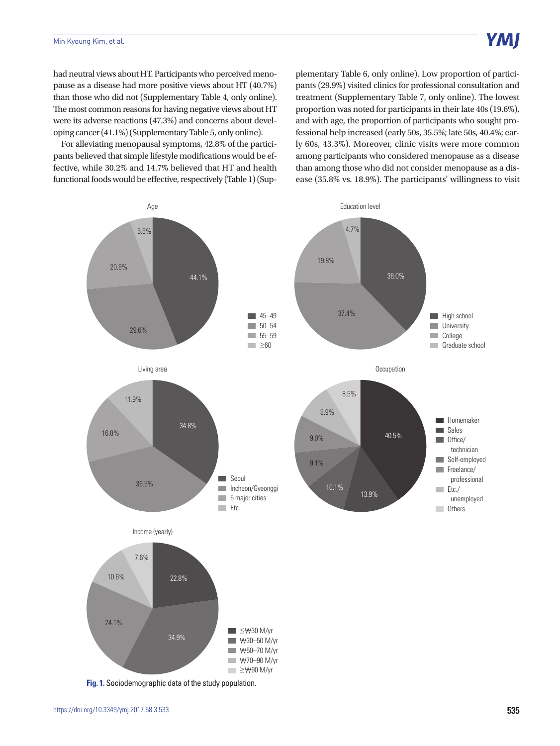had neutral views about HT. Participants who perceived menopause as a disease had more positive views about HT (40.7%) than those who did not (Supplementary Table 4, only online). The most common reasons for having negative views about HT were its adverse reactions (47.3%) and concerns about developing cancer (41.1%) (Supplementary Table 5, only online).

For alleviating menopausal symptoms, 42.8% of the participants believed that simple lifestyle modifications would be effective, while 30.2% and 14.7% believed that HT and health functional foods would be effective, respectively (Table 1) (Supplementary Table 6, only online). Low proportion of participants (29.9%) visited clinics for professional consultation and treatment (Supplementary Table 7, only online). The lowest proportion was noted for participants in their late 40s (19.6%), and with age, the proportion of participants who sought professional help increased (early 50s, 35.5%; late 50s, 40.4%; early 60s, 43.3%). Moreover, clinic visits were more common among participants who considered menopause as a disease than among those who did not consider menopause as a disease (35.8% vs. 18.9%). The participants' willingness to visit

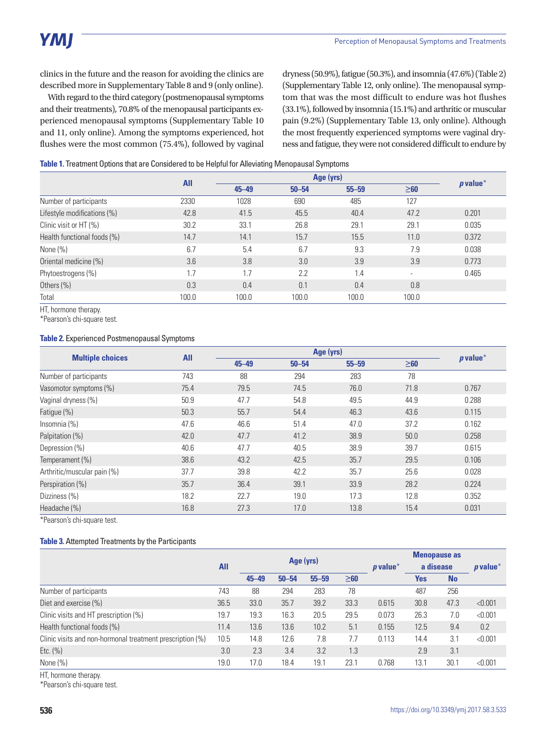clinics in the future and the reason for avoiding the clinics are described more in Supplementary Table 8 and 9 (only online).

With regard to the third category (postmenopausal symptoms and their treatments), 70.8% of the menopausal participants experienced menopausal symptoms (Supplementary Table 10 and 11, only online). Among the symptoms experienced, hot flushes were the most common (75.4%), followed by vaginal dryness (50.9%), fatigue (50.3%), and insomnia (47.6%) (Table 2) (Supplementary Table 12, only online). The menopausal symptom that was the most difficult to endure was hot flushes (33.1%), followed by insomnia (15.1%) and arthritic or muscular pain (9.2%) (Supplementary Table 13, only online). Although the most frequently experienced symptoms were vaginal dryness and fatigue, they were not considered difficult to endure by

|  | Table 1. Treatment Options that are Considered to be Helpful for Alleviating Menopausal Symptoms |  |  |  |
|--|--------------------------------------------------------------------------------------------------|--|--|--|
|  |                                                                                                  |  |  |  |

|                             | <b>All</b> |           |           |           |                          |            |
|-----------------------------|------------|-----------|-----------|-----------|--------------------------|------------|
|                             |            | $45 - 49$ | $50 - 54$ | $55 - 59$ | $\geq 60$                | $p$ value* |
| Number of participants      | 2330       | 1028      | 690       | 485       | 127                      |            |
| Lifestyle modifications (%) | 42.8       | 41.5      | 45.5      | 40.4      | 47.2                     | 0.201      |
| Clinic visit or HT (%)      | 30.2       | 33.1      | 26.8      | 29.1      | 29.1                     | 0.035      |
| Health functional foods (%) | 14.7       | 14.1      | 15.7      | 15.5      | 11.0                     | 0.372      |
| None $(\%)$                 | 6.7        | 5.4       | 6.7       | 9.3       | 7.9                      | 0.038      |
| Oriental medicine (%)       | 3.6        | 3.8       | 3.0       | 3.9       | 3.9                      | 0.773      |
| Phytoestrogens (%)          | 1.7        | 1.7       | 2.2       | 1.4       | $\overline{\phantom{a}}$ | 0.465      |
| Others (%)                  | 0.3        | 0.4       | 0.1       | 0.4       | 0.8                      |            |
| Total                       | 100.0      | 100.0     | 100.0     | 100.0     | 100.0                    |            |

HT, hormone therapy.

\*Pearson's chi-square test.

#### **Table 2.** Experienced Postmenopausal Symptoms

|                             | <b>All</b> |           | $p$ value* |           |           |       |
|-----------------------------|------------|-----------|------------|-----------|-----------|-------|
| <b>Multiple choices</b>     |            | $45 - 49$ | $50 - 54$  | $55 - 59$ | $\geq 60$ |       |
| Number of participants      | 743        | 88        | 294        | 283       | 78        |       |
| Vasomotor symptoms (%)      | 75.4       | 79.5      | 74.5       | 76.0      | 71.8      | 0.767 |
| Vaginal dryness (%)         | 50.9       | 47.7      | 54.8       | 49.5      | 44.9      | 0.288 |
| Fatigue (%)                 | 50.3       | 55.7      | 54.4       | 46.3      | 43.6      | 0.115 |
| Insomnia $(\%)$             | 47.6       | 46.6      | 51.4       | 47.0      | 37.2      | 0.162 |
| Palpitation (%)             | 42.0       | 47.7      | 41.2       | 38.9      | 50.0      | 0.258 |
| Depression (%)              | 40.6       | 47.7      | 40.5       | 38.9      | 39.7      | 0.615 |
| Temperament (%)             | 38.6       | 43.2      | 42.5       | 35.7      | 29.5      | 0.106 |
| Arthritic/muscular pain (%) | 37.7       | 39.8      | 42.2       | 35.7      | 25.6      | 0.028 |
| Perspiration (%)            | 35.7       | 36.4      | 39.1       | 33.9      | 28.2      | 0.224 |
| Dizziness (%)               | 18.2       | 22.7      | 19.0       | 17.3      | 12.8      | 0.352 |
| Headache (%)                | 16.8       | 27.3      | 17.0       | 13.8      | 15.4      | 0.031 |

\*Pearson's chi-square test.

#### **Table 3.** Attempted Treatments by the Participants

|                                                           |            |           |           |           |           |            | <b>Menopause as</b> |           |            |
|-----------------------------------------------------------|------------|-----------|-----------|-----------|-----------|------------|---------------------|-----------|------------|
|                                                           | <b>All</b> | Age (yrs) |           |           |           | $p$ value* | a disease           |           | $p$ value* |
|                                                           |            | $45 - 49$ | $50 - 54$ | $55 - 59$ | $\geq 60$ |            | Yes                 | <b>No</b> |            |
| Number of participants                                    | 743        | 88        | 294       | 283       | 78        |            | 487                 | 256       |            |
| Diet and exercise (%)                                     | 36.5       | 33.0      | 35.7      | 39.2      | 33.3      | 0.615      | 30.8                | 47.3      | < 0.001    |
| Clinic visits and HT prescription (%)                     |            | 19.3      | 16.3      | 20.5      | 29.5      | 0.073      | 26.3                | 7.0       | < 0.001    |
| Health functional foods (%)                               | 11.4       | 13.6      | 13.6      | 10.2      | 5.1       | 0.155      | 12.5                | 9.4       | 0.2        |
| Clinic visits and non-hormonal treatment prescription (%) | 10.5       | 14.8      | 12.6      | 7.8       | 7.7       | 0.113      | 14.4                | 3.1       | < 0.001    |
| Etc. $(\% )$                                              | 3.0        | 2.3       | 3.4       | 3.2       | 1.3       |            | 2.9                 | 3.1       |            |
| None $(\%)$                                               | 19.0       | 17.0      | 18.4      | 19.1      | 23.1      | 0.768      | 13.1                | 30.1      | < 0.001    |

HT, hormone therapy.

\*Pearson's chi-square test.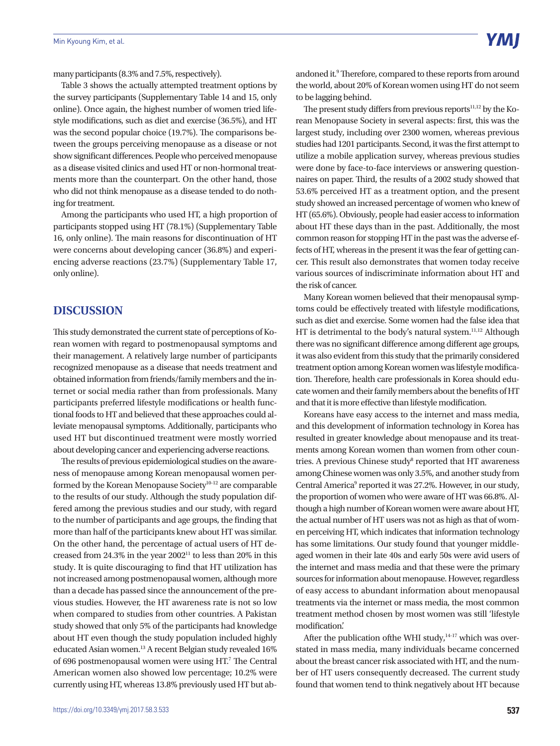many participants (8.3% and 7.5%, respectively).

Table 3 shows the actually attempted treatment options by the survey participants (Supplementary Table 14 and 15, only online). Once again, the highest number of women tried lifestyle modifications, such as diet and exercise (36.5%), and HT was the second popular choice (19.7%). The comparisons between the groups perceiving menopause as a disease or not show significant differences. People who perceived menopause as a disease visited clinics and used HT or non-hormonal treatments more than the counterpart. On the other hand, those who did not think menopause as a disease tended to do nothing for treatment.

Among the participants who used HT, a high proportion of participants stopped using HT (78.1%) (Supplementary Table 16, only online). The main reasons for discontinuation of HT were concerns about developing cancer (36.8%) and experiencing adverse reactions (23.7%) (Supplementary Table 17, only online).

#### **DISCUSSION**

This study demonstrated the current state of perceptions of Korean women with regard to postmenopausal symptoms and their management. A relatively large number of participants recognized menopause as a disease that needs treatment and obtained information from friends/family members and the internet or social media rather than from professionals. Many participants preferred lifestyle modifications or health functional foods to HT and believed that these approaches could alleviate menopausal symptoms. Additionally, participants who used HT but discontinued treatment were mostly worried about developing cancer and experiencing adverse reactions.

The results of previous epidemiological studies on the awareness of menopause among Korean menopausal women performed by the Korean Menopause Society<sup>10-12</sup> are comparable to the results of our study. Although the study population differed among the previous studies and our study, with regard to the number of participants and age groups, the finding that more than half of the participants knew about HT was similar. On the other hand, the percentage of actual users of HT decreased from 24.3% in the year  $2002<sup>11</sup>$  to less than 20% in this study. It is quite discouraging to find that HT utilization has not increased among postmenopausal women, although more than a decade has passed since the announcement of the previous studies. However, the HT awareness rate is not so low when compared to studies from other countries. A Pakistan study showed that only 5% of the participants had knowledge about HT even though the study population included highly educated Asian women.<sup>13</sup> A recent Belgian study revealed 16% of 696 postmenopausal women were using HT.<sup>7</sup> The Central American women also showed low percentage; 10.2% were currently using HT, whereas 13.8% previously used HT but ab-

andoned it.<sup>9</sup> Therefore, compared to these reports from around the world, about 20% of Korean women using HT do not seem to be lagging behind.

The present study differs from previous reports $11,12$  by the Korean Menopause Society in several aspects: first, this was the largest study, including over 2300 women, whereas previous studies had 1201 participants. Second, it was the first attempt to utilize a mobile application survey, whereas previous studies were done by face-to-face interviews or answering questionnaires on paper. Third, the results of a 2002 study showed that 53.6% perceived HT as a treatment option, and the present study showed an increased percentage of women who knew of HT (65.6%). Obviously, people had easier access to information about HT these days than in the past. Additionally, the most common reason for stopping HT in the past was the adverse effects of HT, whereas in the present it was the fear of getting cancer. This result also demonstrates that women today receive various sources of indiscriminate information about HT and the risk of cancer.

Many Korean women believed that their menopausal symptoms could be effectively treated with lifestyle modifications, such as diet and exercise. Some women had the false idea that HT is detrimental to the body's natural system.<sup>11,12</sup> Although there was no significant difference among different age groups, it was also evident from this study that the primarily considered treatment option among Korean women was lifestyle modification. Therefore, health care professionals in Korea should educate women and their family members about the benefits of HT and that it is more effective than lifestyle modification.

Koreans have easy access to the internet and mass media, and this development of information technology in Korea has resulted in greater knowledge about menopause and its treatments among Korean women than women from other countries. A previous Chinese study<sup>8</sup> reported that HT awareness among Chinese women was only 3.5%, and another study from Central America<sup>9</sup> reported it was 27.2%. However, in our study, the proportion of women who were aware of HT was 66.8%. Although a high number of Korean women were aware about HT, the actual number of HT users was not as high as that of women perceiving HT, which indicates that information technology has some limitations. Our study found that younger middleaged women in their late 40s and early 50s were avid users of the internet and mass media and that these were the primary sources for information about menopause. However, regardless of easy access to abundant information about menopausal treatments via the internet or mass media, the most common treatment method chosen by most women was still 'lifestyle modification'.

After the publication of the WHI study, $14-17$  which was overstated in mass media, many individuals became concerned about the breast cancer risk associated with HT, and the number of HT users consequently decreased. The current study found that women tend to think negatively about HT because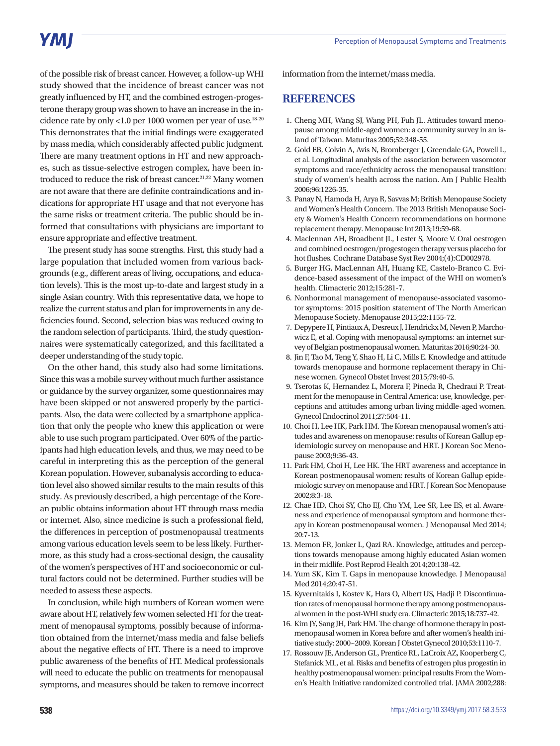## **YMI**

of the possible risk of breast cancer. However, a follow-up WHI study showed that the incidence of breast cancer was not greatly influenced by HT, and the combined estrogen-progesterone therapy group was shown to have an increase in the incidence rate by only <1.0 per 1000 women per year of use.18-20 This demonstrates that the initial findings were exaggerated by mass media, which considerably affected public judgment. There are many treatment options in HT and new approaches, such as tissue-selective estrogen complex, have been introduced to reduce the risk of breast cancer.<sup>21,22</sup> Many women are not aware that there are definite contraindications and indications for appropriate HT usage and that not everyone has the same risks or treatment criteria. The public should be informed that consultations with physicians are important to ensure appropriate and effective treatment.

The present study has some strengths. First, this study had a large population that included women from various backgrounds (e.g., different areas of living, occupations, and education levels). This is the most up-to-date and largest study in a single Asian country. With this representative data, we hope to realize the current status and plan for improvements in any deficiencies found. Second, selection bias was reduced owing to the random selection of participants. Third, the study questionnaires were systematically categorized, and this facilitated a deeper understanding of the study topic.

On the other hand, this study also had some limitations. Since this was a mobile survey without much further assistance or guidance by the survey organizer, some questionnaires may have been skipped or not answered properly by the participants. Also, the data were collected by a smartphone application that only the people who knew this application or were able to use such program participated. Over 60% of the participants had high education levels, and thus, we may need to be careful in interpreting this as the perception of the general Korean population. However, subanalysis according to education level also showed similar results to the main results of this study. As previously described, a high percentage of the Korean public obtains information about HT through mass media or internet. Also, since medicine is such a professional field, the differences in perception of postmenopausal treatments among various education levels seem to be less likely. Furthermore, as this study had a cross-sectional design, the causality of the women's perspectives of HT and socioeconomic or cultural factors could not be determined. Further studies will be needed to assess these aspects.

In conclusion, while high numbers of Korean women were aware about HT, relatively few women selected HT for the treatment of menopausal symptoms, possibly because of information obtained from the internet/mass media and false beliefs about the negative effects of HT. There is a need to improve public awareness of the benefits of HT. Medical professionals will need to educate the public on treatments for menopausal symptoms, and measures should be taken to remove incorrect information from the internet/mass media.

#### **REFERENCES**

- 1. Cheng MH, Wang SJ, Wang PH, Fuh JL. Attitudes toward menopause among middle-aged women: a community survey in an island of Taiwan. Maturitas 2005;52:348-55.
- 2. Gold EB, Colvin A, Avis N, Bromberger J, Greendale GA, Powell L, et al. Longitudinal analysis of the association between vasomotor symptoms and race/ethnicity across the menopausal transition: study of women's health across the nation. Am J Public Health 2006;96:1226-35.
- 3. Panay N, Hamoda H, Arya R, Savvas M; British Menopause Society and Women's Health Concern. The 2013 British Menopause Society & Women's Health Concern recommendations on hormone replacement therapy. Menopause Int 2013;19:59-68.
- 4. Maclennan AH, Broadbent JL, Lester S, Moore V. Oral oestrogen and combined oestrogen/progestogen therapy versus placebo for hot flushes. Cochrane Database Syst Rev 2004;(4):CD002978.
- 5. Burger HG, MacLennan AH, Huang KE, Castelo-Branco C. Evidence-based assessment of the impact of the WHI on women's health. Climacteric 2012;15:281-7.
- 6. Nonhormonal management of menopause-associated vasomotor symptoms: 2015 position statement of The North American Menopause Society. Menopause 2015;22:1155-72.
- 7. Depypere H, Pintiaux A, Desreux J, Hendrickx M, Neven P, Marchowicz E, et al. Coping with menopausal symptoms: an internet survey of Belgian postmenopausal women. Maturitas 2016;90:24-30.
- 8. Jin F, Tao M, Teng Y, Shao H, Li C, Mills E. Knowledge and attitude towards menopause and hormone replacement therapy in Chinese women. Gynecol Obstet Invest 2015;79:40-5.
- 9. Tserotas K, Hernandez L, Morera F, Pineda R, Chedraui P. Treatment for the menopause in Central America: use, knowledge, perceptions and attitudes among urban living middle-aged women. Gynecol Endocrinol 2011;27:504-11.
- 10. Choi H, Lee HK, Park HM. The Korean menopausal women's attitudes and awareness on menopause: results of Korean Gallup epidemiologic survey on menopause and HRT. J Korean Soc Menopause 2003;9:36-43.
- 11. Park HM, Choi H, Lee HK. The HRT awareness and acceptance in Korean postmenopausal women: results of Korean Gallup epidemiologic survey on menopause and HRT. J Korean Soc Menopause 2002;8:3-18.
- 12. Chae HD, Choi SY, Cho EJ, Cho YM, Lee SR, Lee ES, et al. Awareness and experience of menopausal symptom and hormone therapy in Korean postmenopausal women. J Menopausal Med 2014; 20:7-13.
- 13. Memon FR, Jonker L, Qazi RA. Knowledge, attitudes and perceptions towards menopause among highly educated Asian women in their midlife. Post Reprod Health 2014;20:138-42.
- 14. Yum SK, Kim T. Gaps in menopause knowledge. J Menopausal Med 2014;20:47-51.
- 15. Kyvernitakis I, Kostev K, Hars O, Albert US, Hadji P. Discontinuation rates of menopausal hormone therapy among postmenopausal women in the post-WHI study era. Climacteric 2015;18:737-42.
- 16. Kim JY, Sang JH, Park HM. The change of hormone therapy in postmenopausal women in Korea before and after women's health initiative study: 2000~2009. Korean J Obstet Gynecol 2010;53:1110-7.
- 17. Rossouw JE, Anderson GL, Prentice RL, LaCroix AZ, Kooperberg C, Stefanick ML, et al. Risks and benefits of estrogen plus progestin in healthy postmenopausal women: principal results From the Women's Health Initiative randomized controlled trial. JAMA 2002;288: